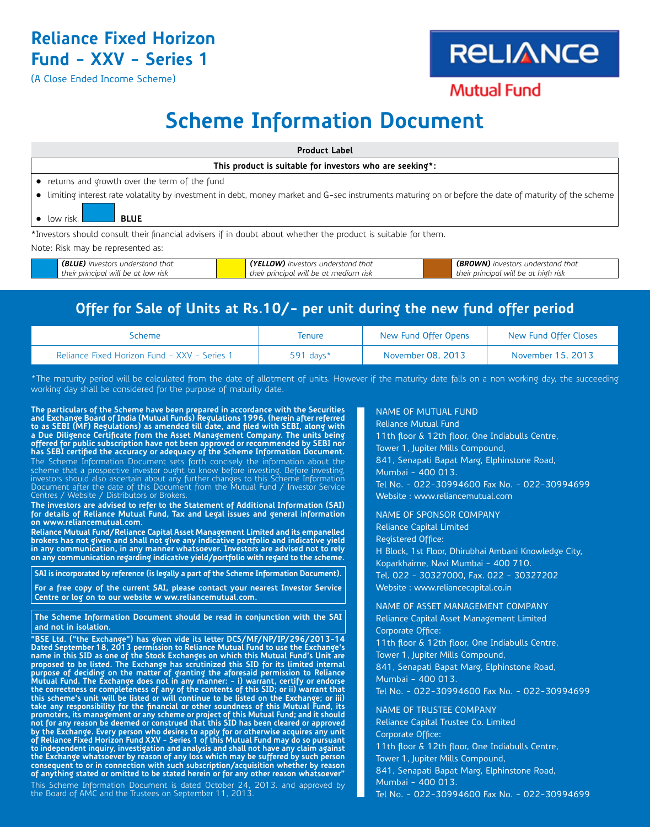## **Reliance Fixed Horizon Fund - XXV - Series 1**

(A Close Ended Income Scheme)

*their principal will be at low risk*

# **RELIANCE**

**Mutual Fund** 

*their principal will be at high risk*

## **Scheme Information Document**

| <b>Product Label</b>                                                                                                                                   |                                    |                                   |  |  |
|--------------------------------------------------------------------------------------------------------------------------------------------------------|------------------------------------|-----------------------------------|--|--|
| This product is suitable for investors who are seeking*:                                                                                               |                                    |                                   |  |  |
| • returns and growth over the term of the fund                                                                                                         |                                    |                                   |  |  |
| • limiting interest rate volatality by investment in debt, money market and G-sec instruments maturing on or before the date of maturity of the scheme |                                    |                                   |  |  |
| $\bullet$ low risk.<br><b>BLUE</b>                                                                                                                     |                                    |                                   |  |  |
| *Investors should consult their financial advisers if in doubt about whether the product is suitable for them.                                         |                                    |                                   |  |  |
| Note: Risk may be represented as:                                                                                                                      |                                    |                                   |  |  |
| (BLUE) investors understand that                                                                                                                       | (YELLOW) investors understand that | (BROWN) investors understand that |  |  |

### **Offer for Sale of Units at Rs.10/- per unit during the new fund offer period**

*their principal will be at medium risk*

| Scheme                                       | lenure       | New Fund Offer Opens | New Fund Offer Closes |
|----------------------------------------------|--------------|----------------------|-----------------------|
| Reliance Fixed Horizon Fund - XXV - Series 1 | 591 days $*$ | November 08, 2013    | November 15, 2013     |

\*The maturity period will be calculated from the date of allotment of units. However if the maturity date falls on a non working day, the succeeding working day shall be considered for the purpose of maturity date.

The particulars of the Scheme have been prepared in accordance with the Securities<br>and Exchange Board of India (Mutual Funds) Regulations 1996, (herein after referred<br>to as SEBI (MF) Regulations) as amended till date, and a Due Diligence Certificate from the Asset Management Company. The units being<br>offered for public subscription have not been approved or recommended by SEBI nor<br>has SEBI certified the accuracy or adequacy of the Scheme Inf

The Scheme Information Document sets forth concisely the information about the scheme that a prospective investor ought to know before investing. Before investing,<br>investors should also ascertain about any further changes to this Scheme Information<br>Document after the date of this Document from the Mu

**The investors are advised to refer to the Statement of Additional Information (SAI) for details of Reliance Mutual Fund, Tax and Legal issues and general information on www.reliancemutual.com.**

**Reliance Mutual Fund/Reliance Capital Asset Management Limited and its empanelled brokers has not given and shall not give any indicative portfolio and indicative yield in any communication, in any manner whatsoever. Investors are advised not to rely on any communication regarding indicative yield/portfolio with regard to the scheme.**

**SAI is incorporated by reference (is legally a part of the Scheme Information Document).** 

**For a free copy of the current SAI, please contact your nearest Investor Service Centre or log on to our website w ww.reliancemutual.com.** 

**The Scheme Information Document should be read in conjunction with the SAI and not in isolation.**

"BSE Ltd. ("the Exchange") has given vide its letter DCS/MF/NP/IP/296/2013-14<br>Dated September 18, 2013 permission to Reliance Mutual Fund to use the Exchange's<br>name in this SID as one of the Stock Exchanges on which this M

This Scheme Information Document is dated October 24, 2013. and approved by the Board of AMC and the Trustees on September 11, 2013.

#### NAME OF MUTUAL FUND

Reliance Mutual Fund 11th floor & 12th floor, One Indiabulls Centre, Tower 1, Jupiter Mills Compound, 841, Senapati Bapat Marg, Elphinstone Road, Mumbai - 400 013. Tel No. - 022-30994600 Fax No. - 022-30994699 Website : www.reliancemutual.com

NAME OF SPONSOR COMPANY Reliance Capital Limited Registered Office: H Block, 1st Floor, Dhirubhai Ambani Knowledge City, Koparkhairne, Navi Mumbai - 400 710. Tel. 022 - 30327000, Fax. 022 - 30327202 Website : www.reliancecapital.co.in

NAME OF ASSET MANAGEMENT COMPANY Reliance Capital Asset Management Limited Corporate Office: 11th floor & 12th floor, One Indiabulls Centre, Tower 1, Jupiter Mills Compound, 841, Senapati Bapat Marg, Elphinstone Road, Mumbai - 400 013. Tel No. - 022-30994600 Fax No. - 022-30994699 NAME OF TRUSTEE COMPANY Reliance Capital Trustee Co. Limited Corporate Office: 11th floor & 12th floor, One Indiabulls Centre,

Tower 1, Jupiter Mills Compound, 841, Senapati Bapat Marg, Elphinstone Road, Mumbai - 400 013.

Tel No. - 022-30994600 Fax No. - 022-30994699